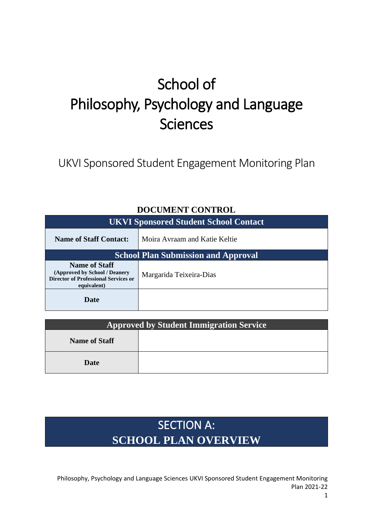# School of Philosophy, Psychology and Language Sciences

UKVI Sponsored Student Engagement Monitoring Plan

| <b>UKVI Sponsored Student School Contact</b>                                                                        |                               |  |
|---------------------------------------------------------------------------------------------------------------------|-------------------------------|--|
| <b>Name of Staff Contact:</b>                                                                                       | Moira Avraam and Katie Keltie |  |
| <b>School Plan Submission and Approval</b>                                                                          |                               |  |
| <b>Name of Staff</b><br>(Approved by School / Deanery<br><b>Director of Professional Services or</b><br>equivalent) | Margarida Teixeira-Dias       |  |
| Date                                                                                                                |                               |  |

### **DOCUMENT CONTROL**

| <b>Approved by Student Immigration Service</b> |  |
|------------------------------------------------|--|
| <b>Name of Staff</b>                           |  |
| Date                                           |  |

## SECTION A: **SCHOOL PLAN OVERVIEW**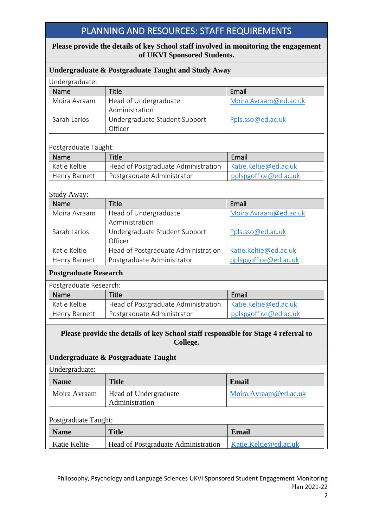## PLANNING AND RESOURCES: STAFF REQUIREMENTS

#### **Please provide the details of key School staff involved in monitoring the engagement of UKVI Sponsored Students.**

| Undergraduate & Postgraduate Taught and Study Away |                               |                        |  |
|----------------------------------------------------|-------------------------------|------------------------|--|
| Undergraduate:                                     |                               |                        |  |
| Name                                               | Title                         | Email                  |  |
| Moira Avraam                                       | Head of Undergraduate         | Moira. Avraam@ed.ac.uk |  |
|                                                    | Administration                |                        |  |
| Sarah Larios                                       | Undergraduate Student Support | Ppls.sso@ed.ac.uk      |  |
|                                                    | Officer                       |                        |  |

#### Postgraduate Taught:

| Name                 | Title                               | Email                 |
|----------------------|-------------------------------------|-----------------------|
| Katie Keltie         | Head of Postgraduate Administration | Katie.Keltie@ed.ac.uk |
| <b>Henry Barnett</b> | Postgraduate Administrator          | pplspgoffice@ed.ac.uk |

#### Study Away:

| Name          | Title                               | Email                 |
|---------------|-------------------------------------|-----------------------|
| Moira Avraam  | Head of Undergraduate               | Moira.Avraam@ed.ac.uk |
|               | Administration                      |                       |
| Sarah Larios  | Undergraduate Student Support       | Ppls.sso@ed.ac.uk     |
|               | Officer                             |                       |
| Katie Keltie  | Head of Postgraduate Administration | Katie.Keltie@ed.ac.uk |
| Henry Barnett | Postgraduate Administrator          | pplspgoffice@ed.ac.uk |

#### **Postgraduate Research**

| Postgraduate Research: |                                     |                       |
|------------------------|-------------------------------------|-----------------------|
| Name                   | Email<br><b>Title</b>               |                       |
| Katie Keltie           | Head of Postgraduate Administration | Katie.Keltie@ed.ac.uk |
| Henry Barnett          | Postgraduate Administrator          | pplspgoffice@ed.ac.uk |

#### **Please provide the details of key School staff responsible for Stage 4 referral to College.**

#### **Undergraduate & Postgraduate Taught**

| Undergraduate: |
|----------------|
|----------------|

| <b>Name</b>  | <b>Title</b>                                   | Email                 |
|--------------|------------------------------------------------|-----------------------|
| Moira Avraam | <b>Head of Undergraduate</b><br>Administration | Moira.Avraam@ed.ac.uk |

#### Postgraduate Taught:

| <b>Name</b>  | <b>Title</b>                        | Email                 |
|--------------|-------------------------------------|-----------------------|
| Katie Keltie | Head of Postgraduate Administration | Katie.Keltie@ed.ac.uk |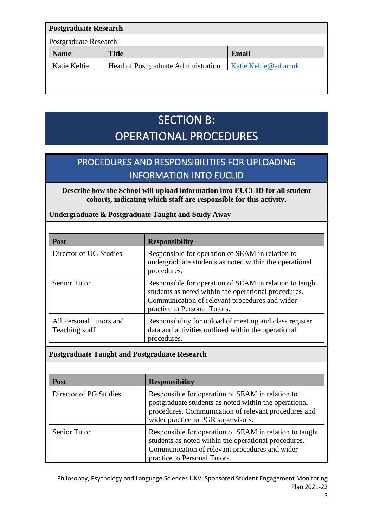| <b>Postgraduate Research</b> |                                     |                       |
|------------------------------|-------------------------------------|-----------------------|
| Postgraduate Research:       |                                     |                       |
| <b>Name</b>                  | <b>Title</b>                        | <b>Email</b>          |
| Katie Keltie                 | Head of Postgraduate Administration | Katie.Keltie@ed.ac.uk |
|                              |                                     |                       |
|                              |                                     |                       |

## SECTION B: OPERATIONAL PROCEDURES

## PROCEDURES AND RESPONSIBILITIES FOR UPLOADING INFORMATION INTO EUCLID

**Describe how the School will upload information into EUCLID for all student cohorts, indicating which staff are responsible for this activity.**

#### **Undergraduate & Postgraduate Taught and Study Away**

| <b>Post</b>                               | <b>Responsibility</b>                                                                                                                                                                             |
|-------------------------------------------|---------------------------------------------------------------------------------------------------------------------------------------------------------------------------------------------------|
| Director of UG Studies                    | Responsible for operation of SEAM in relation to<br>undergraduate students as noted within the operational<br>procedures.                                                                         |
| <b>Senior Tutor</b>                       | Responsible for operation of SEAM in relation to taught<br>students as noted within the operational procedures.<br>Communication of relevant procedures and wider<br>practice to Personal Tutors. |
| All Personal Tutors and<br>Teaching staff | Responsibility for upload of meeting and class register<br>data and activities outlined within the operational<br>procedures.                                                                     |

#### **Postgraduate Taught and Postgraduate Research**

| <b>Post</b>            | <b>Responsibility</b>                                                                                                                                                                                   |
|------------------------|---------------------------------------------------------------------------------------------------------------------------------------------------------------------------------------------------------|
| Director of PG Studies | Responsible for operation of SEAM in relation to<br>postgraduate students as noted within the operational<br>procedures. Communication of relevant procedures and<br>wider practice to PGR supervisors. |
| Senior Tutor           | Responsible for operation of SEAM in relation to taught<br>students as noted within the operational procedures.<br>Communication of relevant procedures and wider<br>practice to Personal Tutors.       |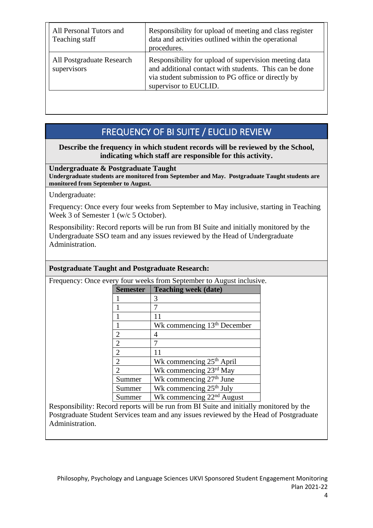| All Personal Tutors and<br>Teaching staff | Responsibility for upload of meeting and class register<br>data and activities outlined within the operational<br>procedures.                                                                  |
|-------------------------------------------|------------------------------------------------------------------------------------------------------------------------------------------------------------------------------------------------|
| All Postgraduate Research<br>supervisors  | Responsibility for upload of supervision meeting data<br>and additional contact with students. This can be done<br>via student submission to PG office or directly by<br>supervisor to EUCLID. |

## FREQUENCY OF BI SUITE / EUCLID REVIEW

#### **Describe the frequency in which student records will be reviewed by the School, indicating which staff are responsible for this activity.**

**Undergraduate & Postgraduate Taught Undergraduate students are monitored from September and May. Postgraduate Taught students are monitored from September to August.** 

Undergraduate:

Frequency: Once every four weeks from September to May inclusive, starting in Teaching Week 3 of Semester 1 (w/c 5 October).

Responsibility: Record reports will be run from BI Suite and initially monitored by the Undergraduate SSO team and any issues reviewed by the Head of Undergraduate Administration.

#### **Postgraduate Taught and Postgraduate Research:**

Frequency: Once every four weeks from September to August inclusive.

| ery four weeks from September to August menusiv |                                         |  |  |
|-------------------------------------------------|-----------------------------------------|--|--|
| <b>Semester</b>                                 | <b>Teaching week (date)</b>             |  |  |
|                                                 | 3                                       |  |  |
|                                                 |                                         |  |  |
|                                                 |                                         |  |  |
| 1                                               | Wk commencing 13 <sup>th</sup> December |  |  |
| $\overline{2}$                                  | 4                                       |  |  |
| $\overline{2}$                                  | 7                                       |  |  |
| $\overline{2}$                                  | 11                                      |  |  |
| $\overline{2}$                                  | Wk commencing 25 <sup>th</sup> April    |  |  |
| $\overline{2}$                                  | Wk commencing 23rd May                  |  |  |
| Summer                                          | Wk commencing 27 <sup>th</sup> June     |  |  |
| Summer                                          | Wk commencing 25 <sup>th</sup> July     |  |  |
| Summer                                          | Wk commencing 22 <sup>nd</sup> August   |  |  |

Responsibility: Record reports will be run from BI Suite and initially monitored by the Postgraduate Student Services team and any issues reviewed by the Head of Postgraduate Administration.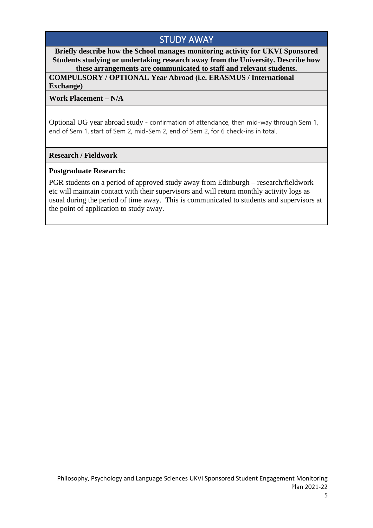## STUDY AWAY

**Briefly describe how the School manages monitoring activity for UKVI Sponsored Students studying or undertaking research away from the University. Describe how these arrangements are communicated to staff and relevant students.**

**COMPULSORY / OPTIONAL Year Abroad (i.e. ERASMUS / International Exchange)**

**Work Placement – N/A**

Optional UG year abroad study - confirmation of attendance, then mid-way through Sem 1, end of Sem 1, start of Sem 2, mid-Sem 2, end of Sem 2, for 6 check-ins in total.

#### **Research / Fieldwork**

#### **Postgraduate Research:**

PGR students on a period of approved study away from Edinburgh – research/fieldwork etc will maintain contact with their supervisors and will return monthly activity logs as usual during the period of time away. This is communicated to students and supervisors at the point of application to study away.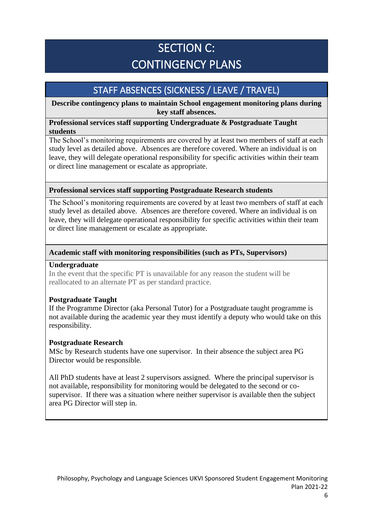## SECTION C: CONTINGENCY PLANS

## STAFF ABSENCES (SICKNESS / LEAVE / TRAVEL)

**Describe contingency plans to maintain School engagement monitoring plans during key staff absences.**

#### **Professional services staff supporting Undergraduate & Postgraduate Taught students**

The School's monitoring requirements are covered by at least two members of staff at each study level as detailed above. Absences are therefore covered. Where an individual is on leave, they will delegate operational responsibility for specific activities within their team or direct line management or escalate as appropriate.

#### **Professional services staff supporting Postgraduate Research students**

The School's monitoring requirements are covered by at least two members of staff at each study level as detailed above. Absences are therefore covered. Where an individual is on leave, they will delegate operational responsibility for specific activities within their team or direct line management or escalate as appropriate.

#### **Academic staff with monitoring responsibilities (such as PTs, Supervisors)**

#### **Undergraduate**

In the event that the specific PT is unavailable for any reason the student will be reallocated to an alternate PT as per standard practice.

#### **Postgraduate Taught**

If the Programme Director (aka Personal Tutor) for a Postgraduate taught programme is not available during the academic year they must identify a deputy who would take on this responsibility.

#### **Postgraduate Research**

MSc by Research students have one supervisor. In their absence the subject area PG Director would be responsible.

All PhD students have at least 2 supervisors assigned. Where the principal supervisor is not available, responsibility for monitoring would be delegated to the second or cosupervisor. If there was a situation where neither supervisor is available then the subject area PG Director will step in.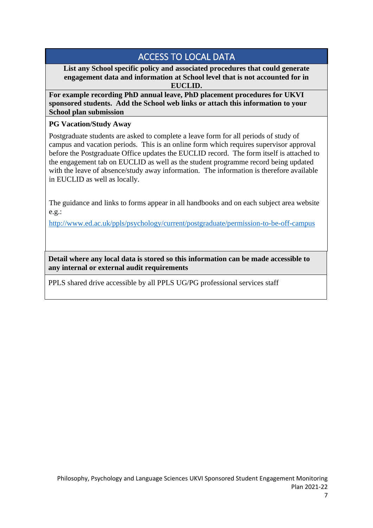## ACCESS TO LOCAL DATA

**List any School specific policy and associated procedures that could generate engagement data and information at School level that is not accounted for in EUCLID.** 

**For example recording PhD annual leave, PhD placement procedures for UKVI sponsored students. Add the School web links or attach this information to your School plan submission**

#### **PG Vacation/Study Away**

Postgraduate students are asked to complete a leave form for all periods of study of campus and vacation periods. This is an online form which requires supervisor approval before the Postgraduate Office updates the EUCLID record. The form itself is attached to the engagement tab on EUCLID as well as the student programme record being updated with the leave of absence/study away information. The information is therefore available in EUCLID as well as locally.

The guidance and links to forms appear in all handbooks and on each subject area website e.g.:

<http://www.ed.ac.uk/ppls/psychology/current/postgraduate/permission-to-be-off-campus>

**Detail where any local data is stored so this information can be made accessible to any internal or external audit requirements**

PPLS shared drive accessible by all PPLS UG/PG professional services staff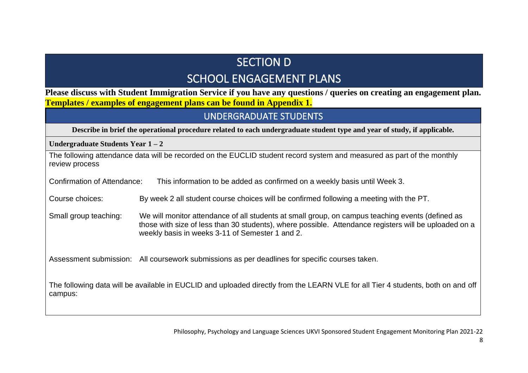## SECTION D SCHOOL ENGAGEMENT PLANS

**Please discuss with Student Immigration Service if you have any questions / queries on creating an engagement plan. Templates / examples of engagement plans can be found in Appendix 1.** 

### UNDERGRADUATE STUDENTS

**Describe in brief the operational procedure related to each undergraduate student type and year of study, if applicable.** 

**Undergraduate Students Year 1 – 2**

| The following attendance data will be recorded on the EUCLID student record system and measured as part of the monthly<br>review process |                                                                                                                                                                                                                                                              |  |  |
|------------------------------------------------------------------------------------------------------------------------------------------|--------------------------------------------------------------------------------------------------------------------------------------------------------------------------------------------------------------------------------------------------------------|--|--|
| <b>Confirmation of Attendance:</b><br>This information to be added as confirmed on a weekly basis until Week 3.                          |                                                                                                                                                                                                                                                              |  |  |
| Course choices:                                                                                                                          | By week 2 all student course choices will be confirmed following a meeting with the PT.                                                                                                                                                                      |  |  |
| Small group teaching:                                                                                                                    | We will monitor attendance of all students at small group, on campus teaching events (defined as<br>those with size of less than 30 students), where possible. Attendance registers will be uploaded on a<br>weekly basis in weeks 3-11 of Semester 1 and 2. |  |  |
|                                                                                                                                          | Assessment submission: All coursework submissions as per deadlines for specific courses taken.                                                                                                                                                               |  |  |
| campus:                                                                                                                                  | The following data will be available in EUCLID and uploaded directly from the LEARN VLE for all Tier 4 students, both on and off                                                                                                                             |  |  |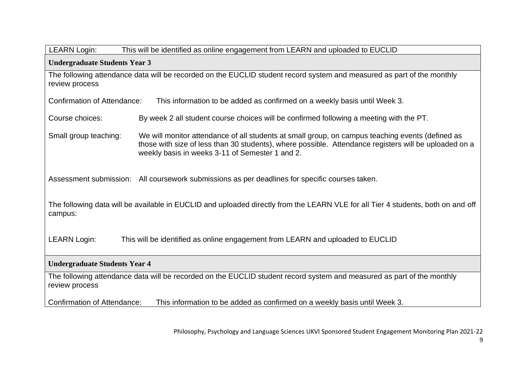| <b>LEARN Login:</b><br>This will be identified as online engagement from LEARN and uploaded to EUCLID                                       |                                                                                                                                                                                                                                                              |  |  |
|---------------------------------------------------------------------------------------------------------------------------------------------|--------------------------------------------------------------------------------------------------------------------------------------------------------------------------------------------------------------------------------------------------------------|--|--|
| <b>Undergraduate Students Year 3</b>                                                                                                        |                                                                                                                                                                                                                                                              |  |  |
| The following attendance data will be recorded on the EUCLID student record system and measured as part of the monthly<br>review process    |                                                                                                                                                                                                                                                              |  |  |
| <b>Confirmation of Attendance:</b>                                                                                                          | This information to be added as confirmed on a weekly basis until Week 3.                                                                                                                                                                                    |  |  |
| Course choices:                                                                                                                             | By week 2 all student course choices will be confirmed following a meeting with the PT.                                                                                                                                                                      |  |  |
| Small group teaching:                                                                                                                       | We will monitor attendance of all students at small group, on campus teaching events (defined as<br>those with size of less than 30 students), where possible. Attendance registers will be uploaded on a<br>weekly basis in weeks 3-11 of Semester 1 and 2. |  |  |
| Assessment submission:                                                                                                                      | All coursework submissions as per deadlines for specific courses taken.                                                                                                                                                                                      |  |  |
| The following data will be available in EUCLID and uploaded directly from the LEARN VLE for all Tier 4 students, both on and off<br>campus: |                                                                                                                                                                                                                                                              |  |  |
| <b>LEARN Login:</b><br>This will be identified as online engagement from LEARN and uploaded to EUCLID                                       |                                                                                                                                                                                                                                                              |  |  |
| <b>Undergraduate Students Year 4</b>                                                                                                        |                                                                                                                                                                                                                                                              |  |  |
| The following attendance data will be recorded on the EUCLID student record system and measured as part of the monthly<br>review process    |                                                                                                                                                                                                                                                              |  |  |
| <b>Confirmation of Attendance:</b><br>This information to be added as confirmed on a weekly basis until Week 3.                             |                                                                                                                                                                                                                                                              |  |  |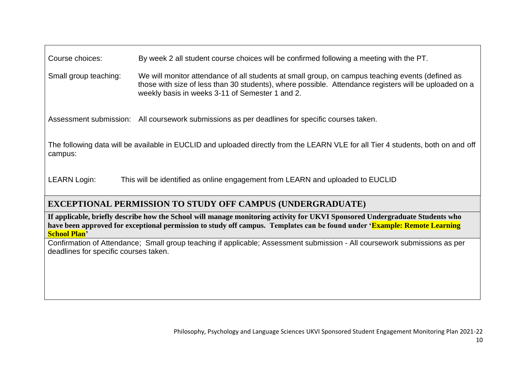| Course choices:       | By week 2 all student course choices will be confirmed following a meeting with the PT.                                                                                                                                                                      |
|-----------------------|--------------------------------------------------------------------------------------------------------------------------------------------------------------------------------------------------------------------------------------------------------------|
| Small group teaching: | We will monitor attendance of all students at small group, on campus teaching events (defined as<br>those with size of less than 30 students), where possible. Attendance registers will be uploaded on a<br>weekly basis in weeks 3-11 of Semester 1 and 2. |

Assessment submission: All coursework submissions as per deadlines for specific courses taken.

The following data will be available in EUCLID and uploaded directly from the LEARN VLE for all Tier 4 students, both on and off campus:

LEARN Login: This will be identified as online engagement from LEARN and uploaded to EUCLID

### **EXCEPTIONAL PERMISSION TO STUDY OFF CAMPUS (UNDERGRADUATE)**

**If applicable, briefly describe how the School will manage monitoring activity for UKVI Sponsored Undergraduate Students who have been approved for exceptional permission to study off campus. Templates can be found under 'Example: Remote Learning School Plan'**

Confirmation of Attendance; Small group teaching if applicable; Assessment submission - All coursework submissions as per deadlines for specific courses taken.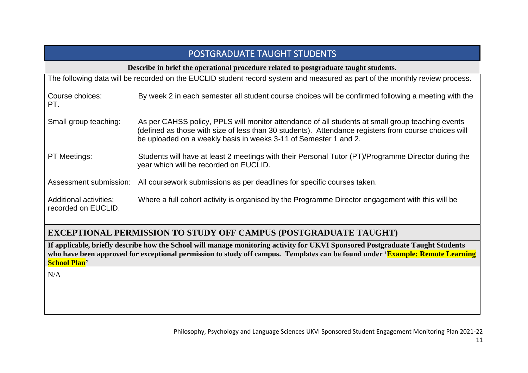| <b>POSTGRADUATE TAUGHT STUDENTS</b>                                                                                         |                                                                                                                                                                                                                                                                              |  |  |
|-----------------------------------------------------------------------------------------------------------------------------|------------------------------------------------------------------------------------------------------------------------------------------------------------------------------------------------------------------------------------------------------------------------------|--|--|
| Describe in brief the operational procedure related to postgraduate taught students.                                        |                                                                                                                                                                                                                                                                              |  |  |
| The following data will be recorded on the EUCLID student record system and measured as part of the monthly review process. |                                                                                                                                                                                                                                                                              |  |  |
| Course choices:<br>PT.                                                                                                      | By week 2 in each semester all student course choices will be confirmed following a meeting with the                                                                                                                                                                         |  |  |
| Small group teaching:                                                                                                       | As per CAHSS policy, PPLS will monitor attendance of all students at small group teaching events<br>(defined as those with size of less than 30 students). Attendance registers from course choices will<br>be uploaded on a weekly basis in weeks 3-11 of Semester 1 and 2. |  |  |
| <b>PT Meetings:</b>                                                                                                         | Students will have at least 2 meetings with their Personal Tutor (PT)/Programme Director during the<br>year which will be recorded on EUCLID.                                                                                                                                |  |  |
| Assessment submission:                                                                                                      | All coursework submissions as per deadlines for specific courses taken.                                                                                                                                                                                                      |  |  |
| Additional activities:<br>recorded on EUCLID.                                                                               | Where a full cohort activity is organised by the Programme Director engagement with this will be                                                                                                                                                                             |  |  |

### **EXCEPTIONAL PERMISSION TO STUDY OFF CAMPUS (POSTGRADUATE TAUGHT)**

**If applicable, briefly describe how the School will manage monitoring activity for UKVI Sponsored Postgraduate Taught Students**  who have been approved for exceptional permission to study off campus. Templates can be found under 'Example: Remote Learning **School Plan'**

 $N/A$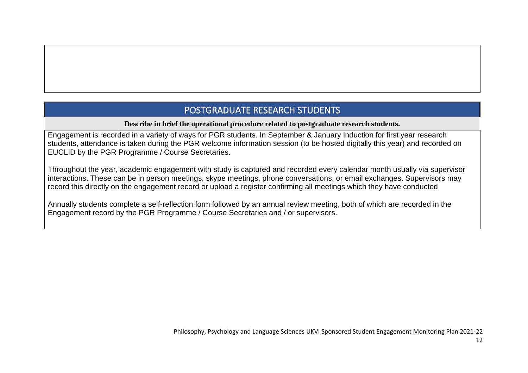## POSTGRADUATE RESEARCH STUDENTS

#### **Describe in brief the operational procedure related to postgraduate research students.**

Engagement is recorded in a variety of ways for PGR students. In September & January Induction for first year research students, attendance is taken during the PGR welcome information session (to be hosted digitally this year) and recorded on EUCLID by the PGR Programme / Course Secretaries.

Throughout the year, academic engagement with study is captured and recorded every calendar month usually via supervisor interactions. These can be in person meetings, skype meetings, phone conversations, or email exchanges. Supervisors may record this directly on the engagement record or upload a register confirming all meetings which they have conducted

Annually students complete a self-reflection form followed by an annual review meeting, both of which are recorded in the Engagement record by the PGR Programme / Course Secretaries and / or supervisors.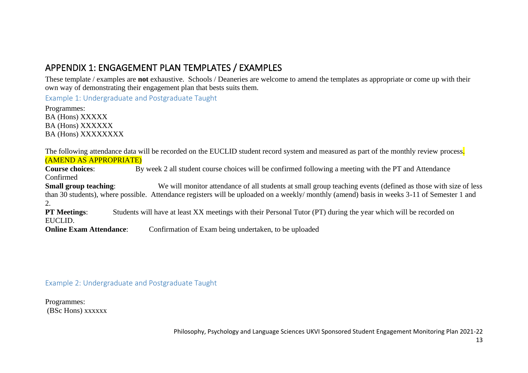## APPENDIX 1: ENGAGEMENT PLAN TEMPLATES / EXAMPLES

These template / examples are **not** exhaustive. Schools / Deaneries are welcome to amend the templates as appropriate or come up with their own way of demonstrating their engagement plan that bests suits them.

Example 1: Undergraduate and Postgraduate Taught

Programmes: BA (Hons) XXXXX BA (Hons) XXXXXX BA (Hons) XXXXXXXX

The following attendance data will be recorded on the EUCLID student record system and measured as part of the monthly review process. (AMEND AS APPROPRIATE)

**Course choices**: By week 2 all student course choices will be confirmed following a meeting with the PT and Attendance Confirmed **Small group teaching:** We will monitor attendance of all students at small group teaching events (defined as those with size of less than 30 students), where possible. Attendance registers will be uploaded on a weekly/ monthly (amend) basis in weeks 3-11 of Semester 1 and 2.<br>**PT Meetings:** Students will have at least XX meetings with their Personal Tutor (PT) during the year which will be recorded on EUCLID.

**Online Exam Attendance:** Confirmation of Exam being undertaken, to be uploaded

Example 2: Undergraduate and Postgraduate Taught

Programmes: (BSc Hons) xxxxxx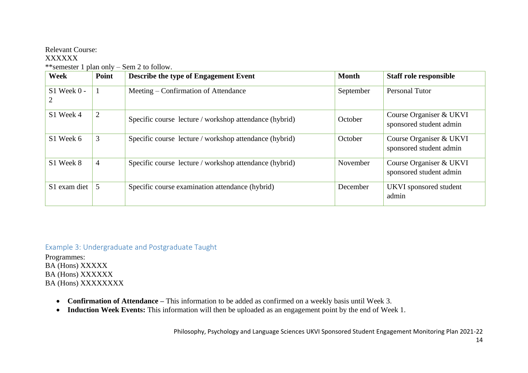#### Relevant Course:

#### XXXXXX

| Week            | Point          | Describe the type of Engagement Event                  | <b>Month</b> | <b>Staff role responsible</b>                      |
|-----------------|----------------|--------------------------------------------------------|--------------|----------------------------------------------------|
| $S1$ Week $0 -$ |                | Meeting – Confirmation of Attendance                   | September    | <b>Personal Tutor</b>                              |
| S1 Week 4       | 2              | Specific course lecture / workshop attendance (hybrid) | October      | Course Organiser & UKVI<br>sponsored student admin |
| S1 Week 6       | 3              | Specific course lecture / workshop attendance (hybrid) | October      | Course Organiser & UKVI<br>sponsored student admin |
| S1 Week 8       | $\overline{4}$ | Specific course lecture / workshop attendance (hybrid) | November     | Course Organiser & UKVI<br>sponsored student admin |
| S1 exam diet    | 5              | Specific course examination attendance (hybrid)        | December     | UKVI sponsored student<br>admin                    |

\*\*semester 1 plan only – Sem 2 to follow.

#### Example 3: Undergraduate and Postgraduate Taught

Programmes: BA (Hons) XXXXX BA (Hons) XXXXXX BA (Hons) XXXXXXXX

- **Confirmation of Attendance –** This information to be added as confirmed on a weekly basis until Week 3.
- **Induction Week Events:** This information will then be uploaded as an engagement point by the end of Week 1.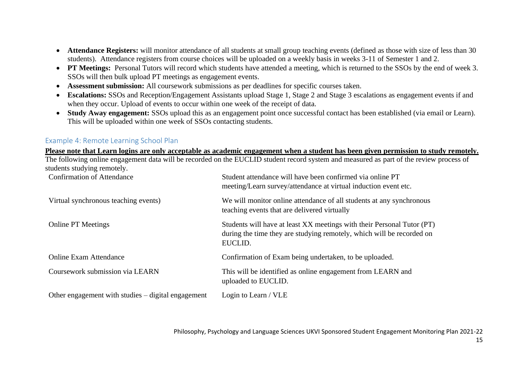- **Attendance Registers:** will monitor attendance of all students at small group teaching events (defined as those with size of less than 30 students). Attendance registers from course choices will be uploaded on a weekly basis in weeks 3-11 of Semester 1 and 2.
- **PT Meetings:** Personal Tutors will record which students have attended a meeting, which is returned to the SSOs by the end of week 3. SSOs will then bulk upload PT meetings as engagement events.
- **Assessment submission:** All coursework submissions as per deadlines for specific courses taken.
- **Escalations:** SSOs and Reception/Engagement Assistants upload Stage 1, Stage 2 and Stage 3 escalations as engagement events if and when they occur. Upload of events to occur within one week of the receipt of data.
- **Study Away engagement:** SSOs upload this as an engagement point once successful contact has been established (via email or Learn). This will be uploaded within one week of SSOs contacting students.

#### Example 4: Remote Learning School Plan

**Please note that Learn logins are only acceptable as academic engagement when a student has been given permission to study remotely.** The following online engagement data will be recorded on the EUCLID student record system and measured as part of the review process of students studying remotely.

| <b>Confirmation of Attendance</b>                  | Student attendance will have been confirmed via online PT<br>meeting/Learn survey/attendance at virtual induction event etc.                               |
|----------------------------------------------------|------------------------------------------------------------------------------------------------------------------------------------------------------------|
| Virtual synchronous teaching events)               | We will monitor online attendance of all students at any synchronous<br>teaching events that are delivered virtually                                       |
| <b>Online PT Meetings</b>                          | Students will have at least XX meetings with their Personal Tutor (PT)<br>during the time they are studying remotely, which will be recorded on<br>EUCLID. |
| <b>Online Exam Attendance</b>                      | Confirmation of Exam being undertaken, to be uploaded.                                                                                                     |
| Coursework submission via LEARN                    | This will be identified as online engagement from LEARN and<br>uploaded to EUCLID.                                                                         |
| Other engagement with studies – digital engagement | Login to Learn / VLE                                                                                                                                       |